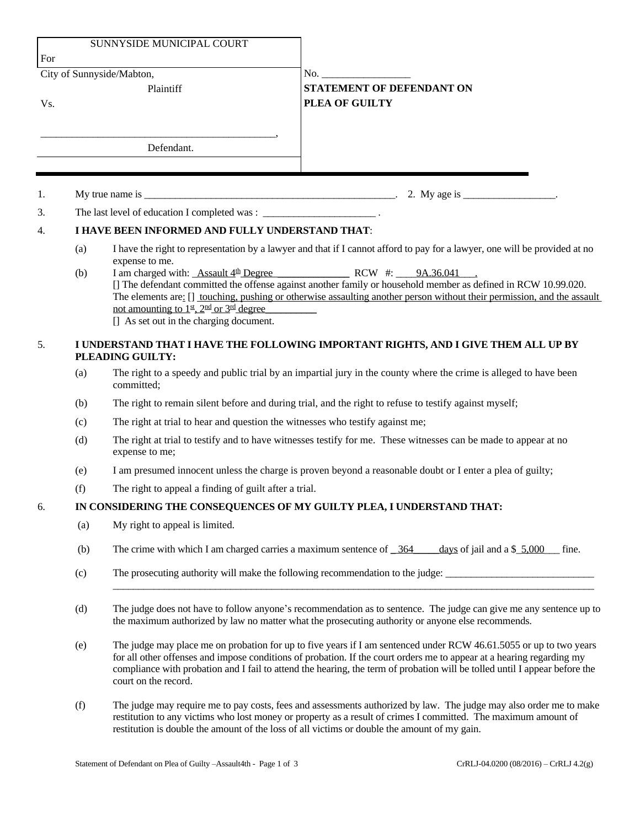| For                                           |                                                                                                        | SUNNYSIDE MUNICIPAL COURT                                                                                                                                                                                                                                                                                                                                                                                                       |                                                    |  |
|-----------------------------------------------|--------------------------------------------------------------------------------------------------------|---------------------------------------------------------------------------------------------------------------------------------------------------------------------------------------------------------------------------------------------------------------------------------------------------------------------------------------------------------------------------------------------------------------------------------|----------------------------------------------------|--|
| City of Sunnyside/Mabton,<br>Plaintiff<br>Vs. |                                                                                                        |                                                                                                                                                                                                                                                                                                                                                                                                                                 | <b>STATEMENT OF DEFENDANT ON</b><br>PLEA OF GUILTY |  |
|                                               |                                                                                                        | Defendant.                                                                                                                                                                                                                                                                                                                                                                                                                      |                                                    |  |
| 1.                                            |                                                                                                        |                                                                                                                                                                                                                                                                                                                                                                                                                                 |                                                    |  |
| 3.                                            |                                                                                                        | The last level of education I completed was : __________________________________.                                                                                                                                                                                                                                                                                                                                               |                                                    |  |
| $\overline{4}$ .                              | I HAVE BEEN INFORMED AND FULLY UNDERSTAND THAT:                                                        |                                                                                                                                                                                                                                                                                                                                                                                                                                 |                                                    |  |
|                                               | (a)                                                                                                    | I have the right to representation by a lawyer and that if I cannot afford to pay for a lawyer, one will be provided at no                                                                                                                                                                                                                                                                                                      |                                                    |  |
|                                               | (b)                                                                                                    | expense to me.<br>I am charged with: Assault 4 <sup>th</sup> Degree RCW #: 9A.36.041.<br>[] The defendant committed the offense against another family or household member as defined in RCW 10.99.020.<br>The elements are: [] touching, pushing or otherwise assaulting another person without their permission, and the assault<br>not amounting to $1st$ , $2nd$ or $3rd$ degree<br>[] As set out in the charging document. |                                                    |  |
| 5.                                            | I UNDERSTAND THAT I HAVE THE FOLLOWING IMPORTANT RIGHTS, AND I GIVE THEM ALL UP BY<br>PLEADING GUILTY: |                                                                                                                                                                                                                                                                                                                                                                                                                                 |                                                    |  |
|                                               | (a)                                                                                                    | The right to a speedy and public trial by an impartial jury in the county where the crime is alleged to have been<br>committed;                                                                                                                                                                                                                                                                                                 |                                                    |  |
|                                               | (b)                                                                                                    | The right to remain silent before and during trial, and the right to refuse to testify against myself;                                                                                                                                                                                                                                                                                                                          |                                                    |  |
|                                               | (c)                                                                                                    | The right at trial to hear and question the witnesses who testify against me;                                                                                                                                                                                                                                                                                                                                                   |                                                    |  |
|                                               | (d)                                                                                                    | The right at trial to testify and to have witnesses testify for me. These witnesses can be made to appear at no<br>expense to me;                                                                                                                                                                                                                                                                                               |                                                    |  |
|                                               | (e)                                                                                                    | I am presumed innocent unless the charge is proven beyond a reasonable doubt or I enter a plea of guilty;                                                                                                                                                                                                                                                                                                                       |                                                    |  |
|                                               | (f)                                                                                                    | The right to appeal a finding of guilt after a trial.                                                                                                                                                                                                                                                                                                                                                                           |                                                    |  |
| 6.                                            | IN CONSIDERING THE CONSEQUENCES OF MY GUILTY PLEA, I UNDERSTAND THAT:                                  |                                                                                                                                                                                                                                                                                                                                                                                                                                 |                                                    |  |
|                                               | (a)                                                                                                    | My right to appeal is limited.                                                                                                                                                                                                                                                                                                                                                                                                  |                                                    |  |
|                                               | (b)                                                                                                    | The crime with which I am charged carries a maximum sentence of $\frac{364}{2}$<br>days of jail and a $$5,000$ fine.                                                                                                                                                                                                                                                                                                            |                                                    |  |
|                                               | (c)                                                                                                    | The prosecuting authority will make the following recommendation to the judge:                                                                                                                                                                                                                                                                                                                                                  |                                                    |  |
|                                               | (d)                                                                                                    | The judge does not have to follow anyone's recommendation as to sentence. The judge can give me any sentence up to<br>the maximum authorized by law no matter what the prosecuting authority or anyone else recommends.                                                                                                                                                                                                         |                                                    |  |
|                                               | (e)                                                                                                    | The judge may place me on probation for up to five years if I am sentenced under RCW 46.61.5055 or up to two years<br>for all other offenses and impose conditions of probation. If the court orders me to appear at a hearing regarding my<br>compliance with probation and I fail to attend the hearing, the term of probation will be tolled until I appear before the<br>court on the record.                               |                                                    |  |
|                                               | (f)                                                                                                    | The judge may require me to pay costs, fees and assessments authorized by law. The judge may also order me to make<br>restitution to any victims who lost money or property as a result of crimes I committed. The maximum amount of                                                                                                                                                                                            |                                                    |  |

restitution is double the amount of the loss of all victims or double the amount of my gain.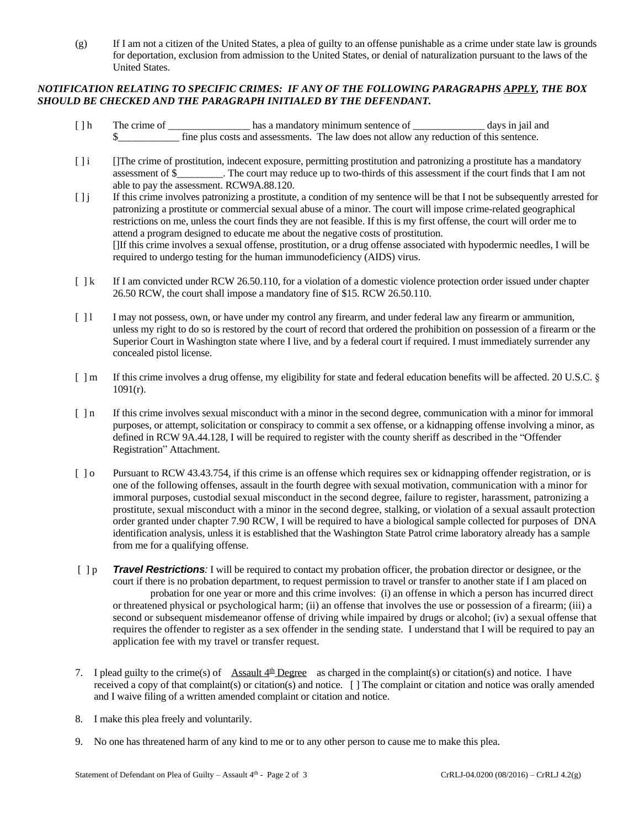(g) If I am not a citizen of the United States, a plea of guilty to an offense punishable as a crime under state law is grounds for deportation, exclusion from admission to the United States, or denial of naturalization pursuant to the laws of the United States.

## *NOTIFICATION RELATING TO SPECIFIC CRIMES: IF ANY OF THE FOLLOWING PARAGRAPHS APPLY, THE BOX SHOULD BE CHECKED AND THE PARAGRAPH INITIALED BY THE DEFENDANT.*

- [] h The crime of \_\_\_\_\_\_\_\_\_\_\_\_\_\_\_\_\_\_\_ has a mandatory minimum sentence of \_\_\_\_\_\_\_\_\_\_\_\_\_\_\_\_\_ days in jail and \$ fine plus costs and assessments. The law does not allow any reduction of this sentence.
- [ ] i []The crime of prostitution, indecent exposure, permitting prostitution and patronizing a prostitute has a mandatory assessment of \$\_\_\_\_\_\_\_\_\_. The court may reduce up to two-thirds of this assessment if the court finds that I am not able to pay the assessment. RCW9A.88.120.
- [ ] j If this crime involves patronizing a prostitute, a condition of my sentence will be that I not be subsequently arrested for patronizing a prostitute or commercial sexual abuse of a minor. The court will impose crime-related geographical restrictions on me, unless the court finds they are not feasible. If this is my first offense, the court will order me to attend a program designed to educate me about the negative costs of prostitution. []If this crime involves a sexual offense, prostitution, or a drug offense associated with hypodermic needles, I will be required to undergo testing for the human immunodeficiency (AIDS) virus.
- [  $\vert$  k If I am convicted under RCW 26.50.110, for a violation of a domestic violence protection order issued under chapter 26.50 RCW, the court shall impose a mandatory fine of \$15. RCW 26.50.110.
- [ ] l I may not possess, own, or have under my control any firearm, and under federal law any firearm or ammunition, unless my right to do so is restored by the court of record that ordered the prohibition on possession of a firearm or the Superior Court in Washington state where I live, and by a federal court if required. I must immediately surrender any concealed pistol license.
- [ ] m If this crime involves a drug offense, my eligibility for state and federal education benefits will be affected. 20 U.S.C. §  $1091(r)$ .
- [ ] n If this crime involves sexual misconduct with a minor in the second degree, communication with a minor for immoral purposes, or attempt, solicitation or conspiracy to commit a sex offense, or a kidnapping offense involving a minor, as defined in RCW 9A.44.128, I will be required to register with the county sheriff as described in the "Offender Registration" Attachment.
- [  $\log$  Pursuant to RCW 43.43.754, if this crime is an offense which requires sex or kidnapping offender registration, or is one of the following offenses, assault in the fourth degree with sexual motivation, communication with a minor for immoral purposes, custodial sexual misconduct in the second degree, failure to register, harassment, patronizing a prostitute, sexual misconduct with a minor in the second degree, stalking, or violation of a sexual assault protection order granted under chapter 7.90 RCW, I will be required to have a biological sample collected for purposes of DNA identification analysis, unless it is established that the Washington State Patrol crime laboratory already has a sample from me for a qualifying offense.
- [ ] p *Travel Restrictions:* I will be required to contact my probation officer, the probation director or designee, or the court if there is no probation department, to request permission to travel or transfer to another state if I am placed on probation for one year or more and this crime involves: (i) an offense in which a person has incurred direct or threatened physical or psychological harm; (ii) an offense that involves the use or possession of a firearm; (iii) a second or subsequent misdemeanor offense of driving while impaired by drugs or alcohol; (iv) a sexual offense that requires the offender to register as a sex offender in the sending state. I understand that I will be required to pay an application fee with my travel or transfer request.
- 7. I plead guilty to the crime(s) of Assault  $4<sup>th</sup>$  Degree as charged in the complaint(s) or citation(s) and notice. I have received a copy of that complaint(s) or citation(s) and notice. [ ] The complaint or citation and notice was orally amended and I waive filing of a written amended complaint or citation and notice.
- 8. I make this plea freely and voluntarily.
- 9. No one has threatened harm of any kind to me or to any other person to cause me to make this plea.